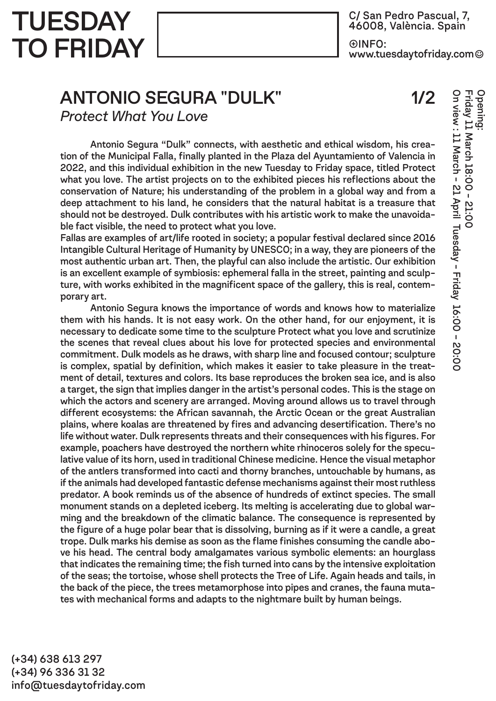**TUESDAY** TO FRIDAY

C/ San Pedro Pascual, 7, 46008, València. Spain  $\oplus$ INFO: www.tuesdaγtofridaγ.com☺

## ANTONIO SEGURA "DULK"

1/2

On view : 11 March - 21 April Tuesday - Friday 16:00 – 20:00

On view : 11 March - 21 April Tuesday - Friday 16:00 - 20:00

Friday 11 March 18:00 - 21:00

21:00

Opening:

*Protect What You Love*

 Antonio Segura "Dulk" connects, with aesthetic and ethical wisdom, his creation of the Municipal Falla, finally planted in the Plaza del Ayuntamiento of Valencia in 2022, and this individual exhibition in the new Tuesday to Friday space, titled Protect what you love. The artist projects on to the exhibited pieces his reflections about the conservation of Nature; his understanding of the problem in a global way and from a deep attachment to his land, he considers that the natural habitat is a treasure that should not be destroyed. Dulk contributes with his artistic work to make the unavoidable fact visible, the need to protect what you love.

Fallas are examples of art/life rooted in society; a popular festival declared since 2016 Intangible Cultural Heritage of Humanity by UNESCO; in a way, they are pioneers of the most authentic urban art. Then, the playful can also include the artistic. Our exhibition is an excellent example of symbiosis: ephemeral falla in the street, painting and sculpture, with works exhibited in the magnificent space of the gallery, this is real, contemporary art.

 Antonio Segura knows the importance of words and knows how to materialize them with his hands. It is not easy work. On the other hand, for our enjoyment, it is necessary to dedicate some time to the sculpture Protect what you love and scrutinize the scenes that reveal clues about his love for protected species and environmental commitment. Dulk models as he draws, with sharp line and focused contour; sculpture is complex, spatial by definition, which makes it easier to take pleasure in the treatment of detail, textures and colors. Its base reproduces the broken sea ice, and is also a target, the sign that implies danger in the artist's personal codes. This is the stage on which the actors and scenery are arranged. Moving around allows us to travel through different ecosystems: the African savannah, the Arctic Ocean or the great Australian plains, where koalas are threatened by fires and advancing desertification. There's no life without water. Dulk represents threats and their consequences with his figures. For example, poachers have destroyed the northern white rhinoceros solely for the speculative value of its horn, used in traditional Chinese medicine. Hence the visual metaphor of the antlers transformed into cacti and thorny branches, untouchable by humans, as if the animals had developed fantastic defense mechanisms against their most ruthless predator. A book reminds us of the absence of hundreds of extinct species. The small monument stands on a depleted iceberg. Its melting is accelerating due to global warming and the breakdown of the climatic balance. The consequence is represented by the figure of a huge polar bear that is dissolving, burning as if it were a candle, a great trope. Dulk marks his demise as soon as the flame finishes consuming the candle above his head. The central body amalgamates various symbolic elements: an hourglass that indicates the remaining time; the fish turned into cans by the intensive exploitation of the seas; the tortoise, whose shell protects the Tree of Life. Again heads and tails, in the back of the piece, the trees metamorphose into pipes and cranes, the fauna mutates with mechanical forms and adapts to the nightmare built by human beings.

(+34) 638 613 297 (+34) 96 336 31 32 info@tuesdaytofriday.com